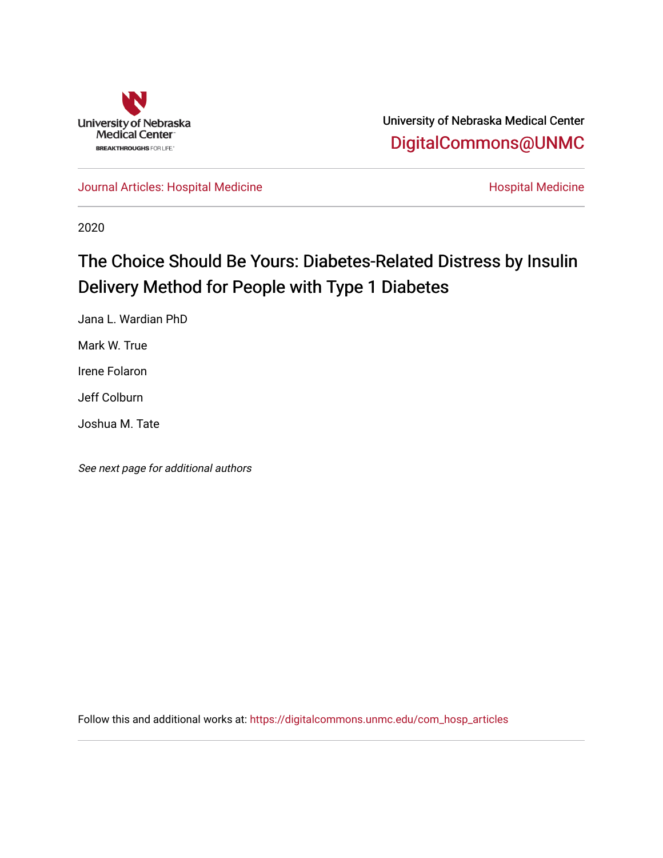

University of Nebraska Medical Center [DigitalCommons@UNMC](https://digitalcommons.unmc.edu/) 

[Journal Articles: Hospital Medicine](https://digitalcommons.unmc.edu/com_hosp_articles) **Hospital Medicine Hospital Medicine** 

2020

# The Choice Should Be Yours: Diabetes-Related Distress by Insulin Delivery Method for People with Type 1 Diabetes

Jana L. Wardian PhD

Mark W. True

Irene Folaron

Jeff Colburn

Joshua M. Tate

See next page for additional authors

Follow this and additional works at: [https://digitalcommons.unmc.edu/com\\_hosp\\_articles](https://digitalcommons.unmc.edu/com_hosp_articles?utm_source=digitalcommons.unmc.edu%2Fcom_hosp_articles%2F8&utm_medium=PDF&utm_campaign=PDFCoverPages)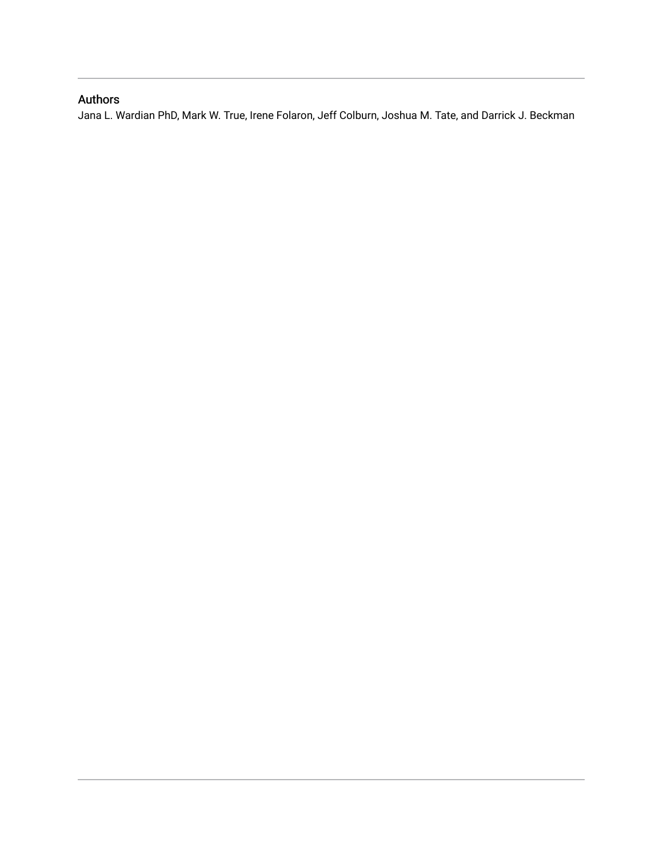### Authors

Jana L. Wardian PhD, Mark W. True, Irene Folaron, Jeff Colburn, Joshua M. Tate, and Darrick J. Beckman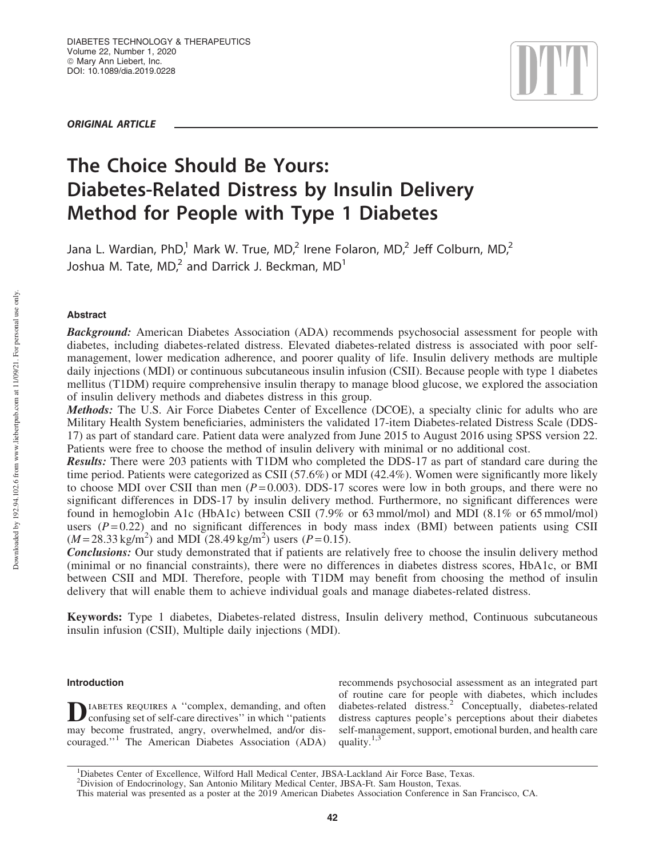ORIGINAL ARTICLE



## The Choice Should Be Yours: Diabetes-Related Distress by Insulin Delivery Method for People with Type 1 Diabetes

Jana L. Wardian, PhD,<sup>1</sup> Mark W. True, MD,<sup>2</sup> Irene Folaron, MD,<sup>2</sup> Jeff Colburn, MD,<sup>2</sup> Joshua M. Tate, MD, $^2$  and Darrick J. Beckman, MD $^1$ 

### Abstract

**Background:** American Diabetes Association (ADA) recommends psychosocial assessment for people with diabetes, including diabetes-related distress. Elevated diabetes-related distress is associated with poor selfmanagement, lower medication adherence, and poorer quality of life. Insulin delivery methods are multiple daily injections (MDI) or continuous subcutaneous insulin infusion (CSII). Because people with type 1 diabetes mellitus (T1DM) require comprehensive insulin therapy to manage blood glucose, we explored the association of insulin delivery methods and diabetes distress in this group.

Methods: The U.S. Air Force Diabetes Center of Excellence (DCOE), a specialty clinic for adults who are Military Health System beneficiaries, administers the validated 17-item Diabetes-related Distress Scale (DDS-17) as part of standard care. Patient data were analyzed from June 2015 to August 2016 using SPSS version 22. Patients were free to choose the method of insulin delivery with minimal or no additional cost.

Results: There were 203 patients with T1DM who completed the DDS-17 as part of standard care during the time period. Patients were categorized as CSII (57.6%) or MDI (42.4%). Women were significantly more likely to choose MDI over CSII than men  $(P=0.003)$ . DDS-17 scores were low in both groups, and there were no significant differences in DDS-17 by insulin delivery method. Furthermore, no significant differences were found in hemoglobin A1c (HbA1c) between CSII (7.9% or 63 mmol/mol) and MDI (8.1% or 65 mmol/mol) users  $(P=0.22)$  and no significant differences in body mass index (BMI) between patients using CSII  $(M=28.33 \text{ kg/m}^2)$  and MDI (28.49 kg/m<sup>2</sup>) users (*P* = 0.15).

Conclusions: Our study demonstrated that if patients are relatively free to choose the insulin delivery method (minimal or no financial constraints), there were no differences in diabetes distress scores, HbA1c, or BMI between CSII and MDI. Therefore, people with T1DM may benefit from choosing the method of insulin delivery that will enable them to achieve individual goals and manage diabetes-related distress.

Keywords: Type 1 diabetes, Diabetes-related distress, Insulin delivery method, Continuous subcutaneous insulin infusion (CSII), Multiple daily injections (MDI).

#### Introduction

DIABETES REQUIRES A "complex, demanding, and often confusing set of self-care directives" in which "patients" confusing set of self-care directives'' in which ''patients may become frustrated, angry, overwhelmed, and/or discouraged.''<sup>1</sup> The American Diabetes Association (ADA)

recommends psychosocial assessment as an integrated part of routine care for people with diabetes, which includes diabetes-related distress.<sup>2</sup> Conceptually, diabetes-related distress captures people's perceptions about their diabetes self-management, support, emotional burden, and health care quality. $1,3$ 

Downloaded by 192.94.102.6 from www.liebertpub.com at 11/09/21. For personal use only. Downloaded by 192.94.102.6 from www.liebertpub.com at 11/09/21. For personal use only

<sup>1</sup>Diabetes Center of Excellence, Wilford Hall Medical Center, JBSA-Lackland Air Force Base, Texas.

<sup>&</sup>lt;sup>2</sup>Division of Endocrinology, San Antonio Military Medical Center, JBSA-Ft. Sam Houston, Texas.

This material was presented as a poster at the 2019 American Diabetes Association Conference in San Francisco, CA.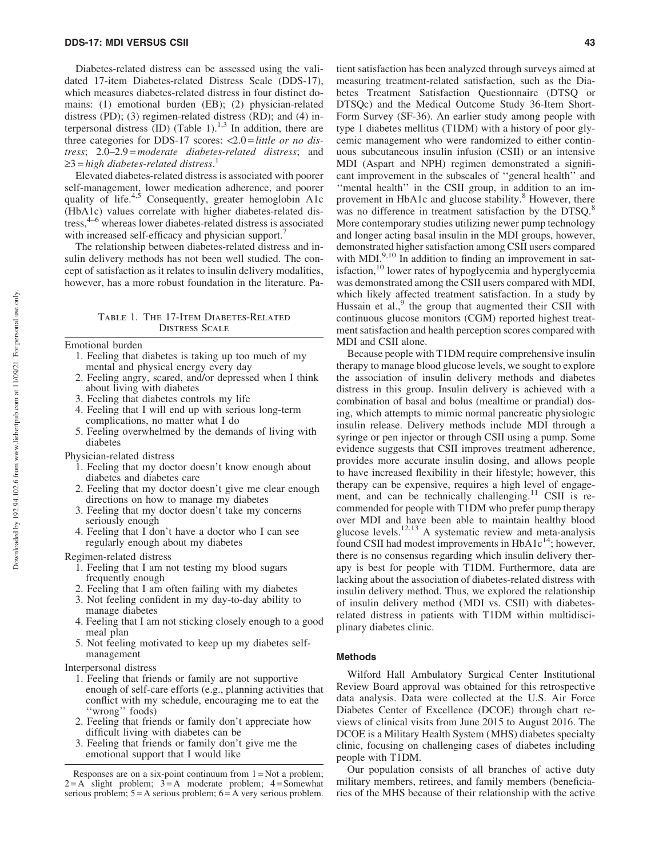Diabetes-related distress can be assessed using the validated 17-item Diabetes-related Distress Scale (DDS-17), which measures diabetes-related distress in four distinct domains: (1) emotional burden (EB); (2) physician-related distress (PD); (3) regimen-related distress (RD); and (4) interpersonal distress  $(ID)$  (Table 1).<sup>1,3</sup> In addition, there are three categories for DDS-17 scores: <2.0 = *little or no distress*; 2.0–2.9 = *moderate diabetes-related distress*; and ≥3 = *high diabetes-related distress*.<sup>1</sup>

Elevated diabetes-related distress is associated with poorer self-management, lower medication adherence, and poorer quality of life.<sup>4,5</sup> Consequently, greater hemoglobin A1c (HbA1c) values correlate with higher diabetes-related dis $t$ ress,<sup>4–6</sup> whereas lower diabetes-related distress is associated with increased self-efficacy and physician support.<sup>7</sup>

The relationship between diabetes-related distress and insulin delivery methods has not been well studied. The concept of satisfaction as it relates to insulin delivery modalities, however, has a more robust foundation in the literature. Pa-

#### Table 1. The 17-Item Diabetes-Related Distress Scale

Emotional burden

- 1. Feeling that diabetes is taking up too much of my mental and physical energy every day
- 2. Feeling angry, scared, and/or depressed when I think about living with diabetes
- 3. Feeling that diabetes controls my life
- 4. Feeling that I will end up with serious long-term complications, no matter what I do
- 5. Feeling overwhelmed by the demands of living with diabetes

Physician-related distress

- 1. Feeling that my doctor doesn't know enough about diabetes and diabetes care
- 2. Feeling that my doctor doesn't give me clear enough directions on how to manage my diabetes
- 3. Feeling that my doctor doesn't take my concerns seriously enough
- 4. Feeling that I don't have a doctor who I can see regularly enough about my diabetes

Regimen-related distress

- 1. Feeling that I am not testing my blood sugars frequently enough
- 2. Feeling that I am often failing with my diabetes
- 3. Not feeling confident in my day-to-day ability to manage diabetes
- 4. Feeling that I am not sticking closely enough to a good meal plan
- 5. Not feeling motivated to keep up my diabetes selfmanagement

Interpersonal distress

- 1. Feeling that friends or family are not supportive enough of self-care efforts (e.g., planning activities that conflict with my schedule, encouraging me to eat the ''wrong'' foods)
- 2. Feeling that friends or family don't appreciate how difficult living with diabetes can be
- 3. Feeling that friends or family don't give me the emotional support that I would like

tient satisfaction has been analyzed through surveys aimed at measuring treatment-related satisfaction, such as the Diabetes Treatment Satisfaction Questionnaire (DTSQ or DTSQc) and the Medical Outcome Study 36-Item Short-Form Survey (SF-36). An earlier study among people with type 1 diabetes mellitus (T1DM) with a history of poor glycemic management who were randomized to either continuous subcutaneous insulin infusion (CSII) or an intensive MDI (Aspart and NPH) regimen demonstrated a significant improvement in the subscales of ''general health'' and ''mental health'' in the CSII group, in addition to an improvement in HbA1c and glucose stability.<sup>8</sup> However, there was no difference in treatment satisfaction by the DTSO.<sup>8</sup> More contemporary studies utilizing newer pump technology and longer acting basal insulin in the MDI groups, however, demonstrated higher satisfaction among CSII users compared with MDI. $9,10$  In addition to finding an improvement in satisfaction,<sup>10</sup> lower rates of hypoglycemia and hyperglycemia was demonstrated among the CSII users compared with MDI, which likely affected treatment satisfaction. In a study by Hussain et al.,<sup>9</sup> the group that augmented their CSII with continuous glucose monitors (CGM) reported highest treatment satisfaction and health perception scores compared with MDI and CSII alone.

Because people with T1DM require comprehensive insulin therapy to manage blood glucose levels, we sought to explore the association of insulin delivery methods and diabetes distress in this group. Insulin delivery is achieved with a combination of basal and bolus (mealtime or prandial) dosing, which attempts to mimic normal pancreatic physiologic insulin release. Delivery methods include MDI through a syringe or pen injector or through CSII using a pump. Some evidence suggests that CSII improves treatment adherence, provides more accurate insulin dosing, and allows people to have increased flexibility in their lifestyle; however, this therapy can be expensive, requires a high level of engagement, and can be technically challenging.<sup>11</sup> CSII is recommended for people with T1DM who prefer pump therapy over MDI and have been able to maintain healthy blood glucose levels. $12,13$  A systematic review and meta-analysis found CSII had modest improvements in  $HbA1c^{14}$ ; however, there is no consensus regarding which insulin delivery therapy is best for people with T1DM. Furthermore, data are lacking about the association of diabetes-related distress with insulin delivery method. Thus, we explored the relationship of insulin delivery method (MDI vs. CSII) with diabetesrelated distress in patients with T1DM within multidisciplinary diabetes clinic.

#### Methods

Wilford Hall Ambulatory Surgical Center Institutional Review Board approval was obtained for this retrospective data analysis. Data were collected at the U.S. Air Force Diabetes Center of Excellence (DCOE) through chart reviews of clinical visits from June 2015 to August 2016. The DCOE is a Military Health System (MHS) diabetes specialty clinic, focusing on challenging cases of diabetes including people with T1DM.

Our population consists of all branches of active duty military members, retirees, and family members (beneficiaries of the MHS because of their relationship with the active

Responses are on a six-point continuum from  $1 = Not$  a problem;  $2 = A$  slight problem;  $3 = A$  moderate problem;  $4 =$ Somewhat serious problem;  $5 = A$  serious problem;  $6 = A$  very serious problem.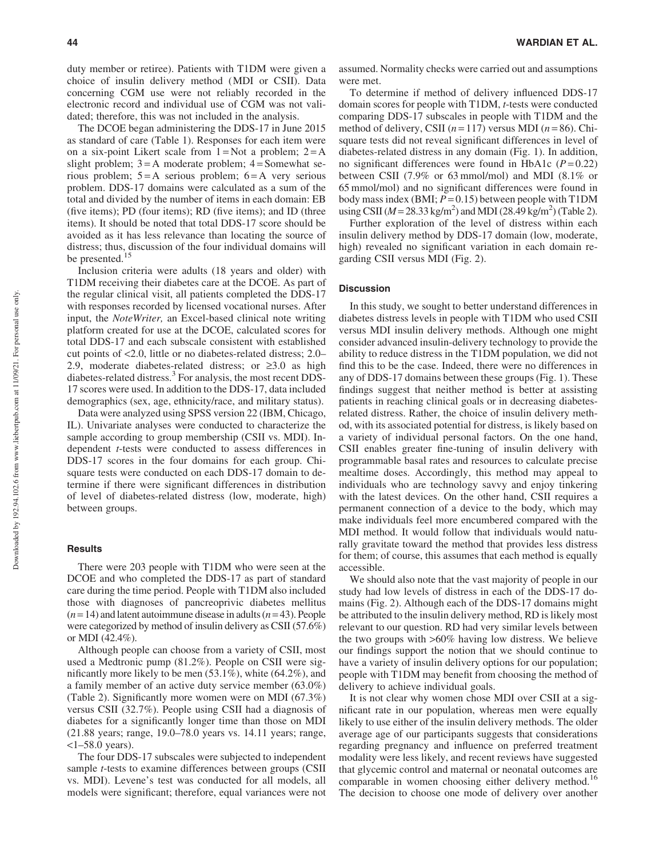duty member or retiree). Patients with T1DM were given a choice of insulin delivery method (MDI or CSII). Data concerning CGM use were not reliably recorded in the electronic record and individual use of CGM was not validated; therefore, this was not included in the analysis.

The DCOE began administering the DDS-17 in June 2015 as standard of care (Table 1). Responses for each item were on a six-point Likert scale from  $1 = Not$  a problem;  $2 = A$ slight problem;  $3 = A$  moderate problem;  $4 =$ Somewhat serious problem;  $5 = A$  serious problem;  $6 = A$  very serious problem. DDS-17 domains were calculated as a sum of the total and divided by the number of items in each domain: EB (five items); PD (four items); RD (five items); and ID (three items). It should be noted that total DDS-17 score should be avoided as it has less relevance than locating the source of distress; thus, discussion of the four individual domains will be presented.<sup>15</sup>

Inclusion criteria were adults (18 years and older) with T1DM receiving their diabetes care at the DCOE. As part of the regular clinical visit, all patients completed the DDS-17 with responses recorded by licensed vocational nurses. After input, the *NoteWriter,* an Excel-based clinical note writing platform created for use at the DCOE, calculated scores for total DDS-17 and each subscale consistent with established cut points of <2.0, little or no diabetes-related distress; 2.0– 2.9, moderate diabetes-related distress; or  $\geq 3.0$  as high diabetes-related distress.<sup>3</sup> For analysis, the most recent DDS-17 scores were used. In addition to the DDS-17, data included demographics (sex, age, ethnicity/race, and military status).

Data were analyzed using SPSS version 22 (IBM, Chicago, IL). Univariate analyses were conducted to characterize the sample according to group membership (CSII vs. MDI). Independent *t*-tests were conducted to assess differences in DDS-17 scores in the four domains for each group. Chisquare tests were conducted on each DDS-17 domain to determine if there were significant differences in distribution of level of diabetes-related distress (low, moderate, high) between groups.

#### **Results**

There were 203 people with T1DM who were seen at the DCOE and who completed the DDS-17 as part of standard care during the time period. People with T1DM also included those with diagnoses of pancreoprivic diabetes mellitus  $(n=14)$  and latent autoimmune disease in adults  $(n=43)$ . People were categorized by method of insulin delivery as CSII (57.6%) or MDI (42.4%).

Although people can choose from a variety of CSII, most used a Medtronic pump (81.2%). People on CSII were significantly more likely to be men (53.1%), white (64.2%), and a family member of an active duty service member (63.0%) (Table 2). Significantly more women were on MDI (67.3%) versus CSII (32.7%). People using CSII had a diagnosis of diabetes for a significantly longer time than those on MDI (21.88 years; range, 19.0–78.0 years vs. 14.11 years; range,  $<1-58.0$  years).

The four DDS-17 subscales were subjected to independent sample *t*-tests to examine differences between groups (CSII vs. MDI). Levene's test was conducted for all models, all models were significant; therefore, equal variances were not assumed. Normality checks were carried out and assumptions were met.

To determine if method of delivery influenced DDS-17 domain scores for people with T1DM, *t*-tests were conducted comparing DDS-17 subscales in people with T1DM and the method of delivery, CSII  $(n=117)$  versus MDI  $(n=86)$ . Chisquare tests did not reveal significant differences in level of diabetes-related distress in any domain (Fig. 1). In addition, no significant differences were found in HbA1c  $(P=0.22)$ between CSII (7.9% or 63 mmol/mol) and MDI (8.1% or 65 mmol/mol) and no significant differences were found in body mass index (BMI;  $P = 0.15$ ) between people with T1DM using CSII ( $M = 28.33$  kg/m<sup>2</sup>) and MDI (28.49 kg/m<sup>2</sup>) (Table 2).

Further exploration of the level of distress within each insulin delivery method by DDS-17 domain (low, moderate, high) revealed no significant variation in each domain regarding CSII versus MDI (Fig. 2).

#### **Discussion**

In this study, we sought to better understand differences in diabetes distress levels in people with T1DM who used CSII versus MDI insulin delivery methods. Although one might consider advanced insulin-delivery technology to provide the ability to reduce distress in the T1DM population, we did not find this to be the case. Indeed, there were no differences in any of DDS-17 domains between these groups (Fig. 1). These findings suggest that neither method is better at assisting patients in reaching clinical goals or in decreasing diabetesrelated distress. Rather, the choice of insulin delivery method, with its associated potential for distress, is likely based on a variety of individual personal factors. On the one hand, CSII enables greater fine-tuning of insulin delivery with programmable basal rates and resources to calculate precise mealtime doses. Accordingly, this method may appeal to individuals who are technology savvy and enjoy tinkering with the latest devices. On the other hand, CSII requires a permanent connection of a device to the body, which may make individuals feel more encumbered compared with the MDI method. It would follow that individuals would naturally gravitate toward the method that provides less distress for them; of course, this assumes that each method is equally accessible.

We should also note that the vast majority of people in our study had low levels of distress in each of the DDS-17 domains (Fig. 2). Although each of the DDS-17 domains might be attributed to the insulin delivery method, RD is likely most relevant to our question. RD had very similar levels between the two groups with >60% having low distress. We believe our findings support the notion that we should continue to have a variety of insulin delivery options for our population; people with T1DM may benefit from choosing the method of delivery to achieve individual goals.

It is not clear why women chose MDI over CSII at a significant rate in our population, whereas men were equally likely to use either of the insulin delivery methods. The older average age of our participants suggests that considerations regarding pregnancy and influence on preferred treatment modality were less likely, and recent reviews have suggested that glycemic control and maternal or neonatal outcomes are comparable in women choosing either delivery method.<sup>16</sup> The decision to choose one mode of delivery over another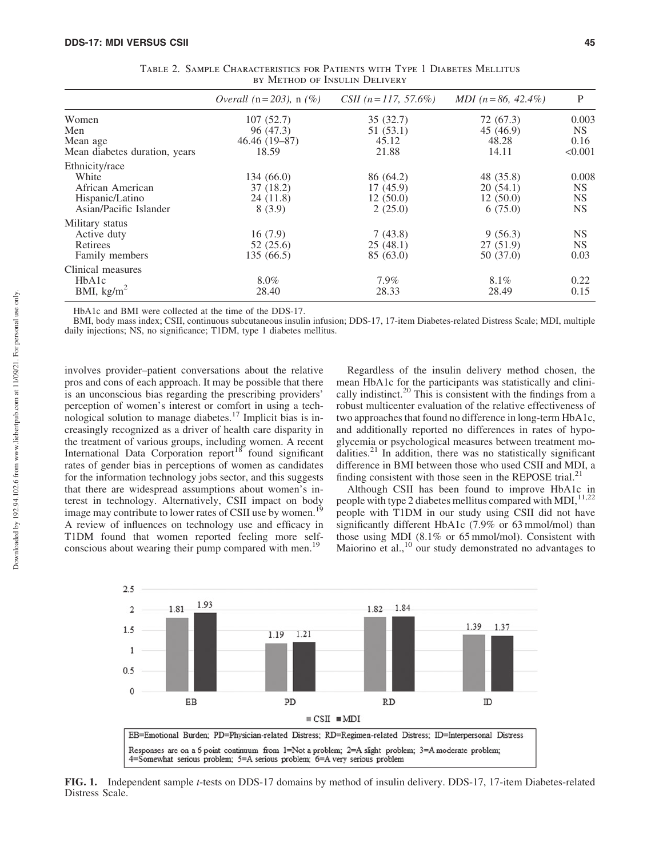|                               | <i>Overall</i> ( $n = 203$ ), $n$ (%) | CSII $(n=117, 57.6\%)$ | MDI $(n=86, 42.4\%)$ | P         |
|-------------------------------|---------------------------------------|------------------------|----------------------|-----------|
| Women                         | 107(52.7)                             | 35 (32.7)              | 72 (67.3)            | 0.003     |
| Men                           | 96 (47.3)                             | 51 (53.1)              | 45 (46.9)            | NS.       |
| Mean age                      | $46.46(19-87)$                        | 45.12                  | 48.28                | 0.16      |
| Mean diabetes duration, years | 18.59                                 | 21.88                  | 14.11                | < 0.001   |
| Ethnicity/race                |                                       |                        |                      |           |
| White                         | 134 (66.0)                            | 86 (64.2)              | 48 (35.8)            | 0.008     |
| African American              | 37(18.2)                              | 17(45.9)               | 20(54.1)             | <b>NS</b> |
| Hispanic/Latino               | 24 (11.8)                             | 12(50.0)               | 12(50.0)             | <b>NS</b> |
| Asian/Pacific Islander        | 8(3.9)                                | 2(25.0)                | 6(75.0)              | <b>NS</b> |
| Military status               |                                       |                        |                      |           |
| Active duty                   | 16(7.9)                               | 7(43.8)                | 9(56.3)              | <b>NS</b> |
| Retirees                      | 52(25.6)                              | 25(48.1)               | 27(51.9)             | <b>NS</b> |
| Family members                | 135 (66.5)                            | 85 (63.0)              | 50 (37.0)            | 0.03      |
| Clinical measures             |                                       |                        |                      |           |
| HbA1c                         | 8.0%                                  | 7.9%                   | 8.1%                 | 0.22      |
| BMI, $\text{kg/m}^2$          | 28.40                                 | 28.33                  | 28.49                | 0.15      |

Table 2. Sample Characteristics for Patients with Type 1 Diabetes Mellitus by Method of Insulin Delivery

HbA1c and BMI were collected at the time of the DDS-17.

BMI, body mass index; CSII, continuous subcutaneous insulin infusion; DDS-17, 17-item Diabetes-related Distress Scale; MDI, multiple daily injections; NS, no significance; T1DM, type 1 diabetes mellitus.

involves provider–patient conversations about the relative pros and cons of each approach. It may be possible that there is an unconscious bias regarding the prescribing providers' perception of women's interest or comfort in using a technological solution to manage diabetes.<sup>17</sup> Implicit bias is increasingly recognized as a driver of health care disparity in the treatment of various groups, including women. A recent International Data Corporation report<sup>18</sup> found significant rates of gender bias in perceptions of women as candidates for the information technology jobs sector, and this suggests that there are widespread assumptions about women's interest in technology. Alternatively, CSII impact on body image may contribute to lower rates of CSII use by women.<sup>19</sup> A review of influences on technology use and efficacy in T1DM found that women reported feeling more selfconscious about wearing their pump compared with men.<sup>19</sup>

Regardless of the insulin delivery method chosen, the mean HbA1c for the participants was statistically and clinically indistinct.<sup>20</sup> This is consistent with the findings from a robust multicenter evaluation of the relative effectiveness of two approaches that found no difference in long-term HbA1c, and additionally reported no differences in rates of hypoglycemia or psychological measures between treatment modalities.<sup>21</sup> In addition, there was no statistically significant difference in BMI between those who used CSII and MDI, a finding consistent with those seen in the REPOSE trial.<sup>21</sup>

Although CSII has been found to improve HbA1c in people with type 2 diabetes mellitus compared with MDI, 11,22 people with T1DM in our study using CSII did not have significantly different HbA1c (7.9% or 63 mmol/mol) than those using MDI (8.1% or 65 mmol/mol). Consistent with Maiorino et al.,<sup>10</sup> our study demonstrated no advantages to



FIG. 1. Independent sample *t*-tests on DDS-17 domains by method of insulin delivery. DDS-17, 17-item Diabetes-related Distress Scale.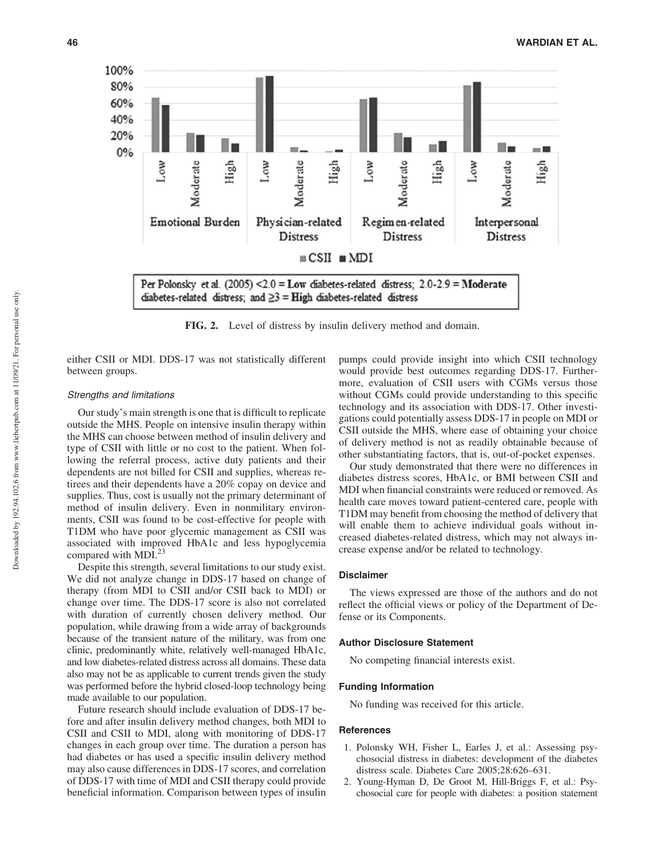

FIG. 2. Level of distress by insulin delivery method and domain.

either CSII or MDI. DDS-17 was not statistically different between groups.

#### Strengths and limitations

Our study's main strength is one that is difficult to replicate outside the MHS. People on intensive insulin therapy within the MHS can choose between method of insulin delivery and type of CSII with little or no cost to the patient. When following the referral process, active duty patients and their dependents are not billed for CSII and supplies, whereas retirees and their dependents have a 20% copay on device and supplies. Thus, cost is usually not the primary determinant of method of insulin delivery. Even in nonmilitary environments, CSII was found to be cost-effective for people with T1DM who have poor glycemic management as CSII was associated with improved HbA1c and less hypoglycemia compared with MDI.<sup>23</sup>

Despite this strength, several limitations to our study exist. We did not analyze change in DDS-17 based on change of therapy (from MDI to CSII and/or CSII back to MDI) or change over time. The DDS-17 score is also not correlated with duration of currently chosen delivery method. Our population, while drawing from a wide array of backgrounds because of the transient nature of the military, was from one clinic, predominantly white, relatively well-managed HbA1c, and low diabetes-related distress across all domains. These data also may not be as applicable to current trends given the study was performed before the hybrid closed-loop technology being made available to our population.

Future research should include evaluation of DDS-17 before and after insulin delivery method changes, both MDI to CSII and CSII to MDI, along with monitoring of DDS-17 changes in each group over time. The duration a person has had diabetes or has used a specific insulin delivery method may also cause differences in DDS-17 scores, and correlation of DDS-17 with time of MDI and CSII therapy could provide beneficial information. Comparison between types of insulin pumps could provide insight into which CSII technology would provide best outcomes regarding DDS-17. Furthermore, evaluation of CSII users with CGMs versus those without CGMs could provide understanding to this specific technology and its association with DDS-17. Other investigations could potentially assess DDS-17 in people on MDI or CSII outside the MHS, where ease of obtaining your choice of delivery method is not as readily obtainable because of other substantiating factors, that is, out-of-pocket expenses.

Our study demonstrated that there were no differences in diabetes distress scores, HbA1c, or BMI between CSII and MDI when financial constraints were reduced or removed. As health care moves toward patient-centered care, people with T1DM may benefit from choosing the method of delivery that will enable them to achieve individual goals without increased diabetes-related distress, which may not always increase expense and/or be related to technology.

#### Disclaimer

The views expressed are those of the authors and do not reflect the official views or policy of the Department of Defense or its Components.

#### Author Disclosure Statement

No competing financial interests exist.

#### Funding Information

No funding was received for this article.

#### **References**

- 1. Polonsky WH, Fisher L, Earles J, et al.: Assessing psychosocial distress in diabetes: development of the diabetes distress scale. Diabetes Care 2005;28:626–631.
- 2. Young-Hyman D, De Groot M, Hill-Briggs F, et al.: Psychosocial care for people with diabetes: a position statement